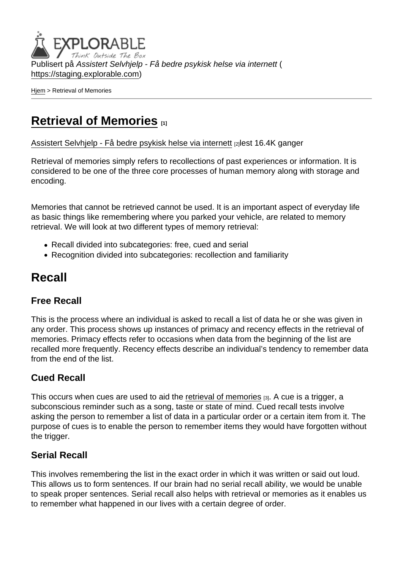Publisert på Assistert Selvhjelp - Få bedre psykisk helse via internett ( <https://staging.explorable.com>)

[Hjem](https://staging.explorable.com/) > Retrieval of Memories

## [Retrieval of Memories](https://staging.explorable.com/retrieval-of-memories) [1]

[Assistert Selvhjelp - Få bedre psykisk helse via internett](https://staging.explorable.com/en) [2]lest 16.4K ganger

Retrieval of memories simply refers to recollections of past experiences or information. It is considered to be one of the three core processes of human memory along with storage and encoding.

Memories that cannot be retrieved cannot be used. It is an important aspect of everyday life as basic things like remembering where you parked your vehicle, are related to memory retrieval. We will look at two different types of memory retrieval:

- Recall divided into subcategories: free, cued and serial
- Recognition divided into subcategories: recollection and familiarity

### Recall

### Free Recall

This is the process where an individual is asked to recall a list of data he or she was given in any order. This process shows up instances of primacy and recency effects in the retrieval of memories. Primacy effects refer to occasions when data from the beginning of the list are recalled more frequently. Recency effects describe an individual's tendency to remember data from the end of the list.

#### Cued Recall

This occurs when cues are used to aid the [retrieval of memories](http://psychology.about.com/od/cognitivepsychology/a/memory_retrival.htm) [3]. A cue is a trigger, a subconscious reminder such as a song, taste or state of mind. Cued recall tests involve asking the person to remember a list of data in a particular order or a certain item from it. The purpose of cues is to enable the person to remember items they would have forgotten without the trigger.

### Serial Recall

This involves remembering the list in the exact order in which it was written or said out loud. This allows us to form sentences. If our brain had no serial recall ability, we would be unable to speak proper sentences. Serial recall also helps with retrieval or memories as it enables us to remember what happened in our lives with a certain degree of order.